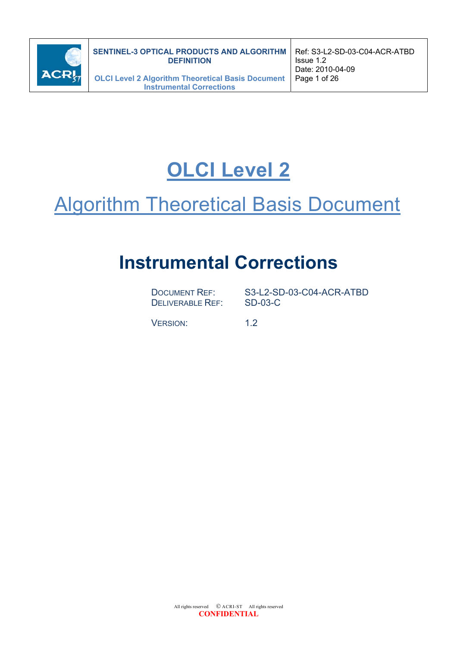

# **OLCI Level 2**

# **Algorithm Theoretical Basis Document**

# **Instrumental Corrections**

DELIVERABLE REF: SD-03-C

DOCUMENT REF: S3-L2-SD-03-C04-ACR-ATBD

VERSION: 1.2

All rights reserved  $\circ$  ACRI-ST All rights reserved **CONFIDENTIAL**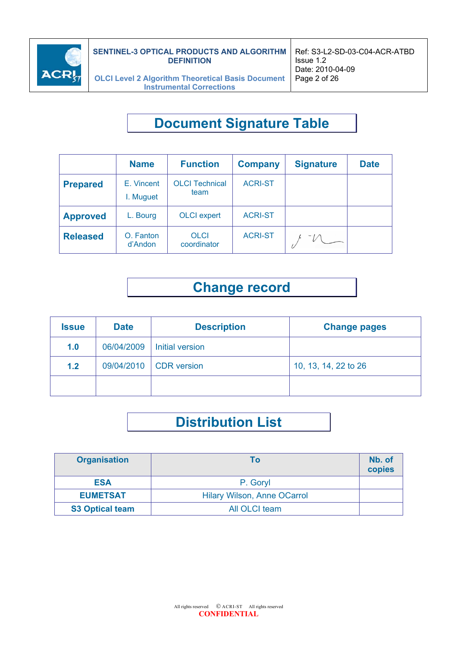

# **Document Signature Table**

| <b>Name</b>                                                                 |                      | <b>Function</b>            | <b>Company</b> | <b>Signature</b> | <b>Date</b> |
|-----------------------------------------------------------------------------|----------------------|----------------------------|----------------|------------------|-------------|
| <b>OLCI Technical</b><br>E. Vincent<br><b>Prepared</b><br>team<br>I. Muguet |                      | <b>ACRI-ST</b>             |                |                  |             |
| <b>Approved</b>                                                             | L. Bourg             | <b>OLCI</b> expert         | <b>ACRI-ST</b> |                  |             |
| <b>Released</b>                                                             | O. Fanton<br>d'Andon | <b>OLCI</b><br>coordinator | <b>ACRI-ST</b> |                  |             |

# **Change record**

| <b>Issue</b> | <b>Date</b> | <b>Description</b>     | <b>Change pages</b>  |
|--------------|-------------|------------------------|----------------------|
| 1.0          | 06/04/2009  | Initial version        |                      |
| 1.2          |             | 09/04/2010 CDR version | 10, 13, 14, 22 to 26 |
|              |             |                        |                      |

# **Distribution List**

| <b>Organisation</b>    | Тο                          | Nb. of<br>copies |
|------------------------|-----------------------------|------------------|
| <b>ESA</b>             | P. Goryl                    |                  |
| <b>EUMETSAT</b>        | Hilary Wilson, Anne OCarrol |                  |
| <b>S3 Optical team</b> | All OLCI team               |                  |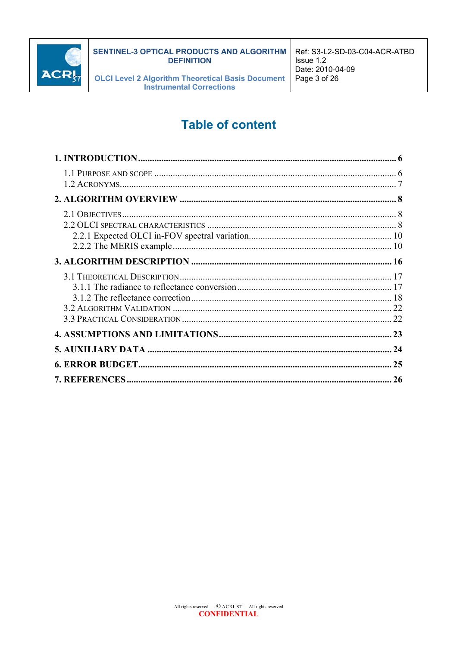

# **Table of content**

| 26 |
|----|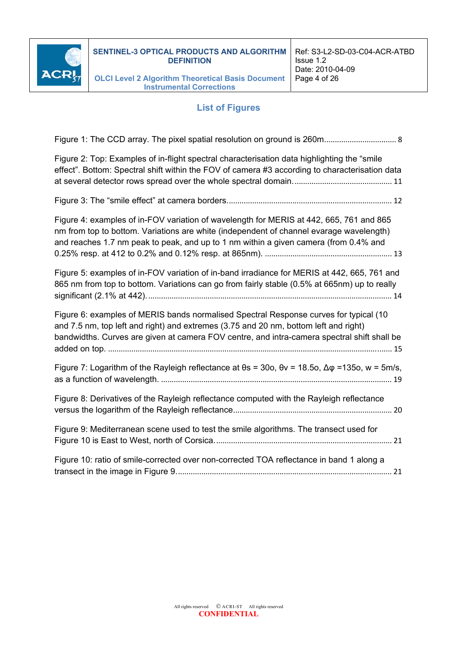

#### **List of Figures**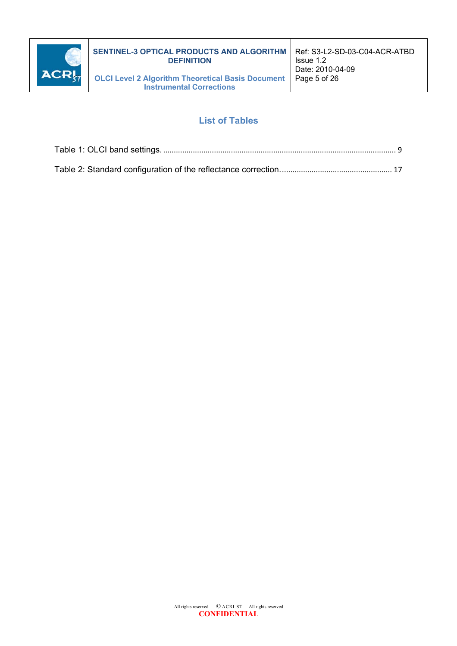

### **List of Tables**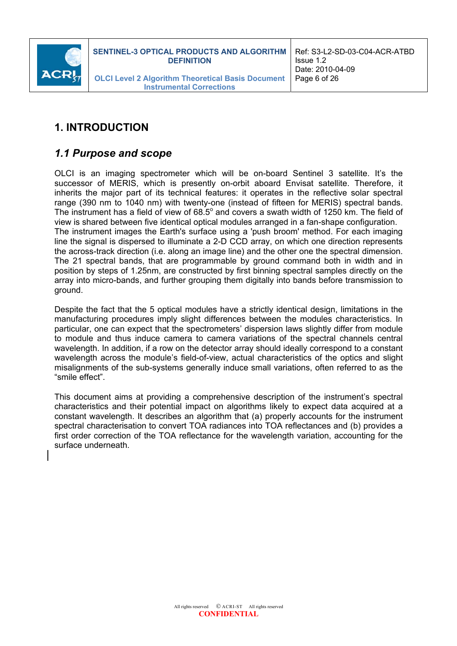

# **1. INTRODUCTION**

### *1.1 Purpose and scope*

OLCI is an imaging spectrometer which will be on-board Sentinel 3 satellite. It's the successor of MERIS, which is presently on-orbit aboard Envisat satellite. Therefore, it inherits the major part of its technical features: it operates in the reflective solar spectral range (390 nm to 1040 nm) with twenty-one (instead of fifteen for MERIS) spectral bands. The instrument has a field of view of 68.5 $^{\circ}$  and covers a swath width of 1250 km. The field of view is shared between five identical optical modules arranged in a fan-shape configuration. The instrument images the Earth's surface using a 'push broom' method. For each imaging line the signal is dispersed to illuminate a 2-D CCD array, on which one direction represents the across-track direction (i.e. along an image line) and the other one the spectral dimension. The 21 spectral bands, that are programmable by ground command both in width and in position by steps of 1.25nm, are constructed by first binning spectral samples directly on the array into micro-bands, and further grouping them digitally into bands before transmission to ground.

Despite the fact that the 5 optical modules have a strictly identical design, limitations in the manufacturing procedures imply slight differences between the modules characteristics. In particular, one can expect that the spectrometers' dispersion laws slightly differ from module to module and thus induce camera to camera variations of the spectral channels central wavelength. In addition, if a row on the detector array should ideally correspond to a constant wavelength across the module's field-of-view, actual characteristics of the optics and slight misalignments of the sub-systems generally induce small variations, often referred to as the "smile effect".

This document aims at providing a comprehensive description of the instrument's spectral characteristics and their potential impact on algorithms likely to expect data acquired at a constant wavelength. It describes an algorithm that (a) properly accounts for the instrument spectral characterisation to convert TOA radiances into TOA reflectances and (b) provides a first order correction of the TOA reflectance for the wavelength variation, accounting for the surface underneath.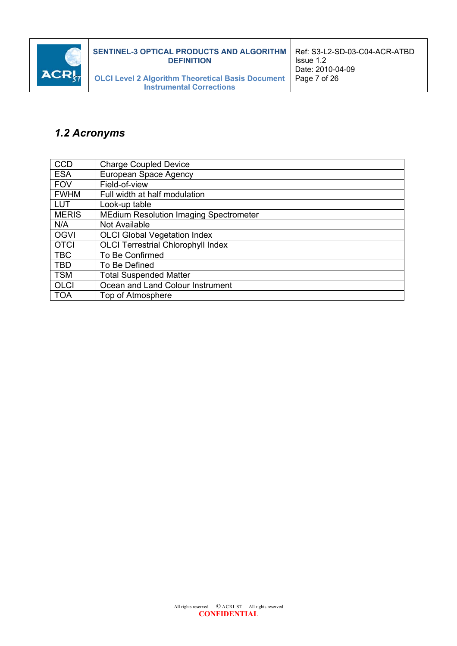

# *1.2 Acronyms*

| <b>CCD</b>   | <b>Charge Coupled Device</b>                  |
|--------------|-----------------------------------------------|
| <b>ESA</b>   | European Space Agency                         |
| <b>FOV</b>   | Field-of-view                                 |
| <b>FWHM</b>  | Full width at half modulation                 |
| <b>LUT</b>   | Look-up table                                 |
| <b>MERIS</b> | <b>MEdium Resolution Imaging Spectrometer</b> |
| N/A          | Not Available                                 |
| <b>OGVI</b>  | <b>OLCI Global Vegetation Index</b>           |
| <b>OTCI</b>  | <b>OLCI Terrestrial Chlorophyll Index</b>     |
| <b>TBC</b>   | To Be Confirmed                               |
| <b>TBD</b>   | To Be Defined                                 |
| <b>TSM</b>   | <b>Total Suspended Matter</b>                 |
| <b>OLCI</b>  | Ocean and Land Colour Instrument              |
| <b>TOA</b>   | Top of Atmosphere                             |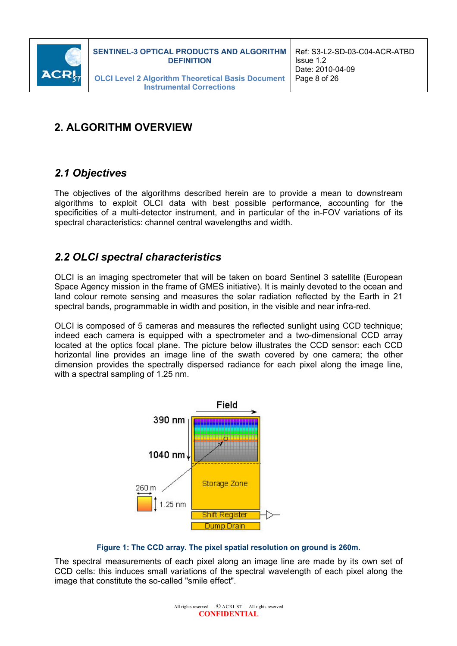

# **2. ALGORITHM OVERVIEW**

# *2.1 Objectives*

The objectives of the algorithms described herein are to provide a mean to downstream algorithms to exploit OLCI data with best possible performance, accounting for the specificities of a multi-detector instrument, and in particular of the in-FOV variations of its spectral characteristics: channel central wavelengths and width.

# *2.2 OLCI spectral characteristics*

OLCI is an imaging spectrometer that will be taken on board Sentinel 3 satellite (European Space Agency mission in the frame of GMES initiative). It is mainly devoted to the ocean and land colour remote sensing and measures the solar radiation reflected by the Earth in 21 spectral bands, programmable in width and position, in the visible and near infra-red.

OLCI is composed of 5 cameras and measures the reflected sunlight using CCD technique; indeed each camera is equipped with a spectrometer and a two-dimensional CCD array located at the optics focal plane. The picture below illustrates the CCD sensor: each CCD horizontal line provides an image line of the swath covered by one camera; the other dimension provides the spectrally dispersed radiance for each pixel along the image line, with a spectral sampling of 1.25 nm.



**Figure 1: The CCD array. The pixel spatial resolution on ground is 260m.** 

The spectral measurements of each pixel along an image line are made by its own set of CCD cells: this induces small variations of the spectral wavelength of each pixel along the image that constitute the so-called "smile effect".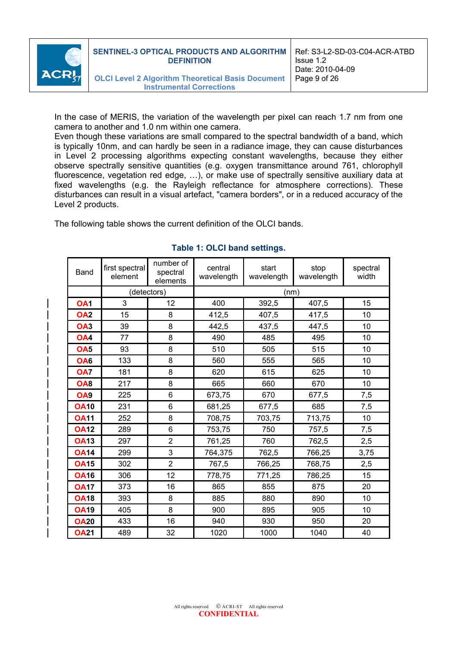

**Instrumental Corrections**

In the case of MERIS, the variation of the wavelength per pixel can reach 1.7 nm from one camera to another and 1.0 nm within one camera.

Even though these variations are small compared to the spectral bandwidth of a band, which is typically 10nm, and can hardly be seen in a radiance image, they can cause disturbances in Level 2 processing algorithms expecting constant wavelengths, because they either observe spectrally sensitive quantities (e.g. oxygen transmittance around 761, chlorophyll fluorescence, vegetation red edge, …), or make use of spectrally sensitive auxiliary data at fixed wavelengths (e.g. the Rayleigh reflectance for atmosphere corrections). These disturbances can result in a visual artefact, "camera borders", or in a reduced accuracy of the Level 2 products.

The following table shows the current definition of the OLCI bands.

| Band            | first spectral<br>element | number of<br>spectral<br>elements | central<br>wavelength | start<br>wavelength | stop<br>wavelength | spectral<br>width |  |
|-----------------|---------------------------|-----------------------------------|-----------------------|---------------------|--------------------|-------------------|--|
|                 | (detectors)               |                                   | (nm)                  |                     |                    |                   |  |
| OA <sub>1</sub> | 3                         | 12                                | 400                   | 392,5               | 407,5              | 15                |  |
| <b>OA2</b>      | 15                        | 8                                 | 412,5                 | 407,5               | 417,5              | 10                |  |
| OA <sub>3</sub> | 39                        | 8                                 | 442,5                 | 437,5               | 447,5              | 10                |  |
| OA <sub>4</sub> | 77                        | 8                                 | 490<br>485            |                     | 495                | 10                |  |
| OA <sub>5</sub> | 93                        | 8                                 | 510                   | 505                 | 515                | 10                |  |
| OA <sub>6</sub> | 133                       | 8                                 | 560                   | 555                 | 565                | 10                |  |
| OA7             | 181                       | 8                                 | 620                   | 615                 | 625                | 10                |  |
| <b>OA8</b>      | 217                       | 8                                 | 665                   | 660                 | 670                | 10                |  |
| OA <sub>9</sub> | 225                       | 6                                 | 673,75                | 670                 | 677,5              | 7,5               |  |
| <b>OA10</b>     | 231                       | 6                                 | 681,25                | 677,5               | 685                | 7,5               |  |
| <b>OA11</b>     | 252                       | 8                                 | 708,75                | 703,75              | 713,75             | 10                |  |
| <b>OA12</b>     | 289                       | 6                                 | 753,75                | 750                 | 757,5              | 7,5               |  |
| <b>OA13</b>     | 297                       | $\overline{2}$                    | 761,25                | 760                 | 762,5              | 2,5               |  |
| <b>OA14</b>     | 299                       | 3                                 | 764,375               | 762,5               | 766,25             | 3,75              |  |
| <b>OA15</b>     | 302                       | $\overline{2}$                    | 767,5                 | 766,25              | 768,75             | 2,5               |  |
| <b>OA16</b>     | 306                       | 12                                | 778,75                | 771,25              | 786,25             | 15                |  |
| <b>OA17</b>     | 373                       | 16                                | 865                   | 855                 | 875                | 20                |  |
| <b>OA18</b>     | 393                       | 8                                 | 885                   | 880                 | 890                | 10                |  |
| <b>OA19</b>     | 405                       | 8                                 | 900                   | 895                 | 905                | 10                |  |
| <b>OA20</b>     | 433                       | 16                                | 940                   | 930                 | 950                | 20                |  |
| <b>OA21</b>     | 489                       | 32                                | 1020                  | 1000                | 1040               | 40                |  |

#### **Table 1: OLCI band settings.**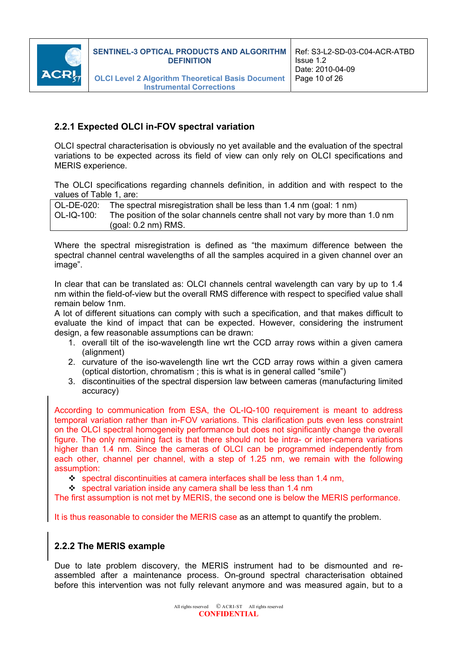

#### **2.2.1 Expected OLCI in-FOV spectral variation**

OLCI spectral characterisation is obviously no yet available and the evaluation of the spectral variations to be expected across its field of view can only rely on OLCI specifications and MERIS experience.

The OLCI specifications regarding channels definition, in addition and with respect to the values of Table 1, are:

|            | OL-DE-020: The spectral misregistration shall be less than 1.4 nm (goal: 1 nm) |
|------------|--------------------------------------------------------------------------------|
| OL-IQ-100: | The position of the solar channels centre shall not vary by more than 1.0 nm   |
|            | (goal: $0.2 \text{ nm}$ ) RMS.                                                 |

Where the spectral misregistration is defined as "the maximum difference between the spectral channel central wavelengths of all the samples acquired in a given channel over an image".

In clear that can be translated as: OLCI channels central wavelength can vary by up to 1.4 nm within the field-of-view but the overall RMS difference with respect to specified value shall remain below 1nm.

A lot of different situations can comply with such a specification, and that makes difficult to evaluate the kind of impact that can be expected. However, considering the instrument design, a few reasonable assumptions can be drawn:

- 1. overall tilt of the iso-wavelength line wrt the CCD array rows within a given camera (alignment)
- 2. curvature of the iso-wavelength line wrt the CCD array rows within a given camera (optical distortion, chromatism ; this is what is in general called "smile")
- 3. discontinuities of the spectral dispersion law between cameras (manufacturing limited accuracy)

According to communication from ESA, the OL-IQ-100 requirement is meant to address temporal variation rather than in-FOV variations. This clarification puts even less constraint on the OLCI spectral homogeneity performance but does not significantly change the overall figure. The only remaining fact is that there should not be intra- or inter-camera variations higher than 1.4 nm. Since the cameras of OLCI can be programmed independently from each other, channel per channel, with a step of 1.25 nm, we remain with the following assumption:

- $\div$  spectral discontinuities at camera interfaces shall be less than 1.4 nm,
- spectral variation inside any camera shall be less than 1.4 nm

The first assumption is not met by MERIS, the second one is below the MERIS performance.

It is thus reasonable to consider the MERIS case as an attempt to quantify the problem.

#### **2.2.2 The MERIS example**

Due to late problem discovery, the MERIS instrument had to be dismounted and reassembled after a maintenance process. On-ground spectral characterisation obtained before this intervention was not fully relevant anymore and was measured again, but to a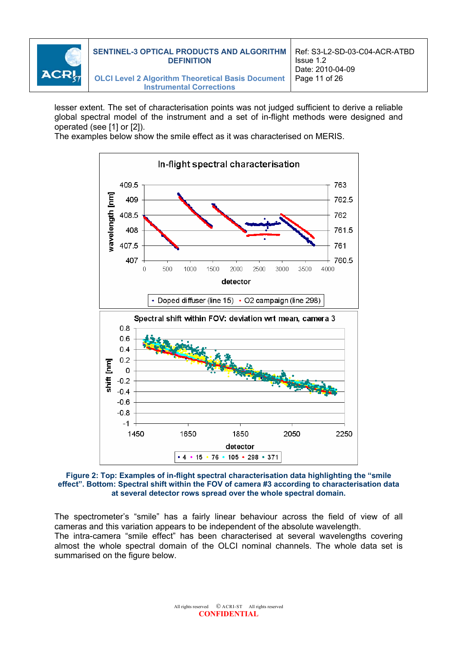

**Instrumental Corrections**

lesser extent. The set of characterisation points was not judged sufficient to derive a reliable global spectral model of the instrument and a set of in-flight methods were designed and operated (see [1] or [2]).

The examples below show the smile effect as it was characterised on MERIS.



#### **Figure 2: Top: Examples of in-flight spectral characterisation data highlighting the "smile effect". Bottom: Spectral shift within the FOV of camera #3 according to characterisation data at several detector rows spread over the whole spectral domain.**

The spectrometer's "smile" has a fairly linear behaviour across the field of view of all cameras and this variation appears to be independent of the absolute wavelength. The intra-camera "smile effect" has been characterised at several wavelengths covering almost the whole spectral domain of the OLCI nominal channels. The whole data set is summarised on the figure below.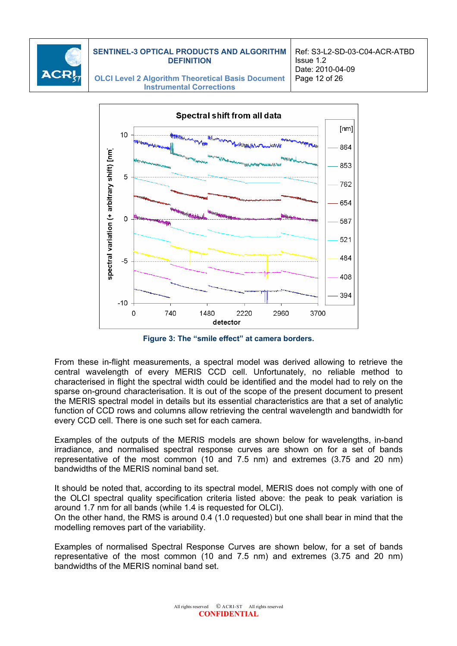

Ref: S3-L2-SD-03-C04-ACR-ATBD Issue 1.2 Date: 2010-04-09 Page 12 of 26

**OLCI Level 2 Algorithm Theoretical Basis Document Instrumental Corrections**



**Figure 3: The "smile effect" at camera borders.** 

From these in-flight measurements, a spectral model was derived allowing to retrieve the central wavelength of every MERIS CCD cell. Unfortunately, no reliable method to characterised in flight the spectral width could be identified and the model had to rely on the sparse on-ground characterisation. It is out of the scope of the present document to present the MERIS spectral model in details but its essential characteristics are that a set of analytic function of CCD rows and columns allow retrieving the central wavelength and bandwidth for every CCD cell. There is one such set for each camera.

Examples of the outputs of the MERIS models are shown below for wavelengths, in-band irradiance, and normalised spectral response curves are shown on for a set of bands representative of the most common (10 and 7.5 nm) and extremes (3.75 and 20 nm) bandwidths of the MERIS nominal band set.

It should be noted that, according to its spectral model, MERIS does not comply with one of the OLCI spectral quality specification criteria listed above: the peak to peak variation is around 1.7 nm for all bands (while 1.4 is requested for OLCI).

On the other hand, the RMS is around 0.4 (1.0 requested) but one shall bear in mind that the modelling removes part of the variability.

Examples of normalised Spectral Response Curves are shown below, for a set of bands representative of the most common (10 and 7.5 nm) and extremes (3.75 and 20 nm) bandwidths of the MERIS nominal band set.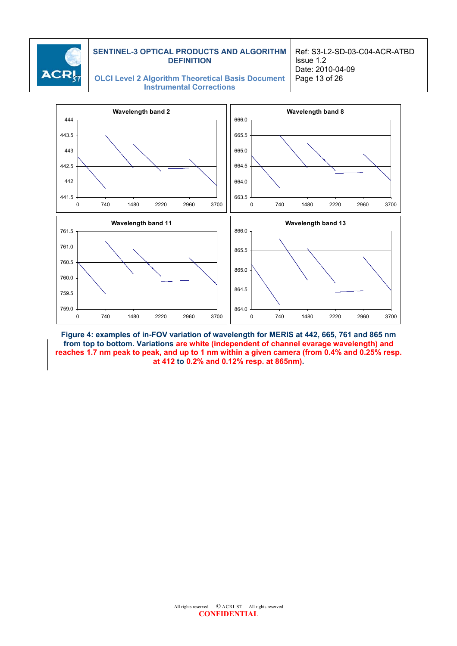

Ref: S3-L2-SD-03-C04-ACR-ATBD Issue 1.2 Date: 2010-04-09 Page 13 of 26

#### **OLCI Level 2 Algorithm Theoretical Basis Document Instrumental Corrections**



**Figure 4: examples of in-FOV variation of wavelength for MERIS at 442, 665, 761 and 865 nm from top to bottom. Variations are white (independent of channel evarage wavelength) and reaches 1.7 nm peak to peak, and up to 1 nm within a given camera (from 0.4% and 0.25% resp. at 412 to 0.2% and 0.12% resp. at 865nm).**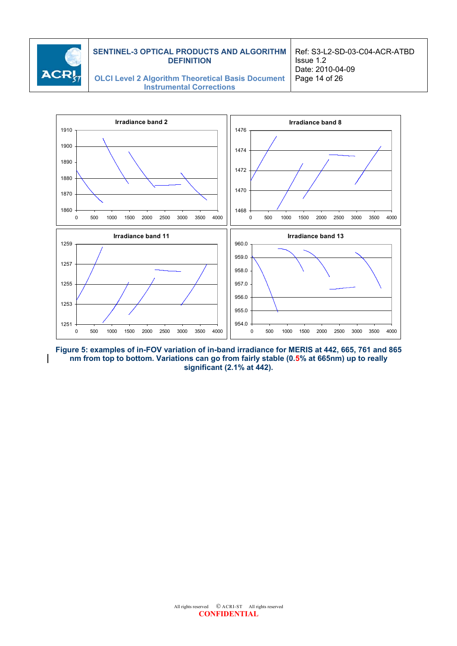

Ref: S3-L2-SD-03-C04-ACR-ATBD Issue 1.2 Date: 2010-04-09 Page 14 of 26

**OLCI Level 2 Algorithm Theoretical Basis Document Instrumental Corrections**



**Figure 5: examples of in-FOV variation of in-band irradiance for MERIS at 442, 665, 761 and 865 nm from top to bottom. Variations can go from fairly stable (0.5% at 665nm) up to really significant (2.1% at 442).**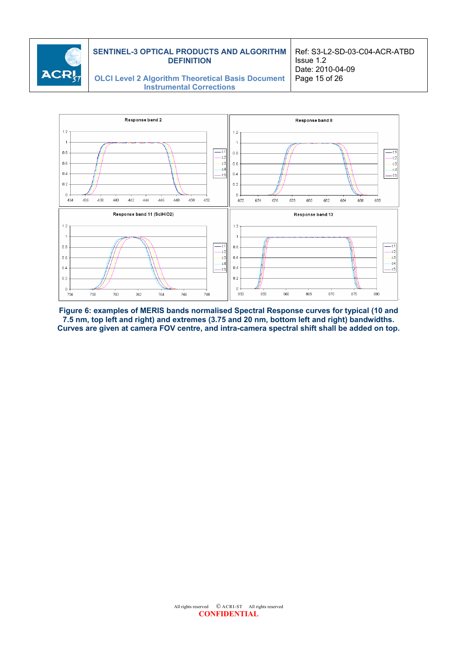

Ref: S3-L2-SD-03-C04-ACR-ATBD Issue 1.2 Date: 2010-04-09 Page 15 of 26

**OLCI Level 2 Algorithm Theoretical Basis Document Instrumental Corrections**



**Figure 6: examples of MERIS bands normalised Spectral Response curves for typical (10 and 7.5 nm, top left and right) and extremes (3.75 and 20 nm, bottom left and right) bandwidths. Curves are given at camera FOV centre, and intra-camera spectral shift shall be added on top.**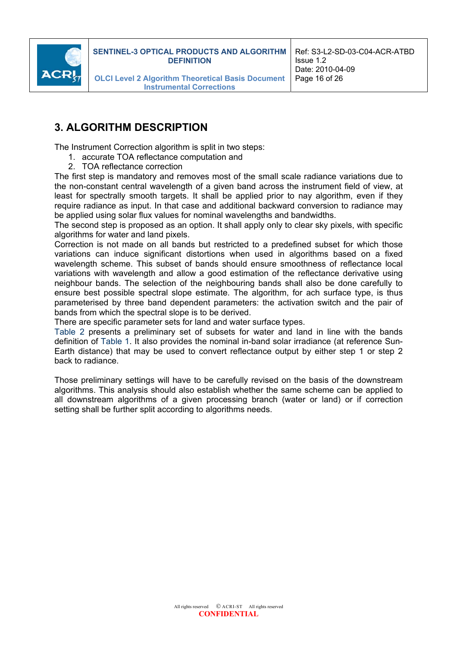

# **3. ALGORITHM DESCRIPTION**

The Instrument Correction algorithm is split in two steps:

- 1. accurate TOA reflectance computation and
- 2. TOA reflectance correction

The first step is mandatory and removes most of the small scale radiance variations due to the non-constant central wavelength of a given band across the instrument field of view, at least for spectrally smooth targets. It shall be applied prior to nay algorithm, even if they require radiance as input. In that case and additional backward conversion to radiance may be applied using solar flux values for nominal wavelengths and bandwidths.

The second step is proposed as an option. It shall apply only to clear sky pixels, with specific algorithms for water and land pixels.

Correction is not made on all bands but restricted to a predefined subset for which those variations can induce significant distortions when used in algorithms based on a fixed wavelength scheme. This subset of bands should ensure smoothness of reflectance local variations with wavelength and allow a good estimation of the reflectance derivative using neighbour bands. The selection of the neighbouring bands shall also be done carefully to ensure best possible spectral slope estimate. The algorithm, for ach surface type, is thus parameterised by three band dependent parameters: the activation switch and the pair of bands from which the spectral slope is to be derived.

There are specific parameter sets for land and water surface types.

Table 2 presents a preliminary set of subsets for water and land in line with the bands definition of Table 1. It also provides the nominal in-band solar irradiance (at reference Sun-Earth distance) that may be used to convert reflectance output by either step 1 or step 2 back to radiance.

Those preliminary settings will have to be carefully revised on the basis of the downstream algorithms. This analysis should also establish whether the same scheme can be applied to all downstream algorithms of a given processing branch (water or land) or if correction setting shall be further split according to algorithms needs.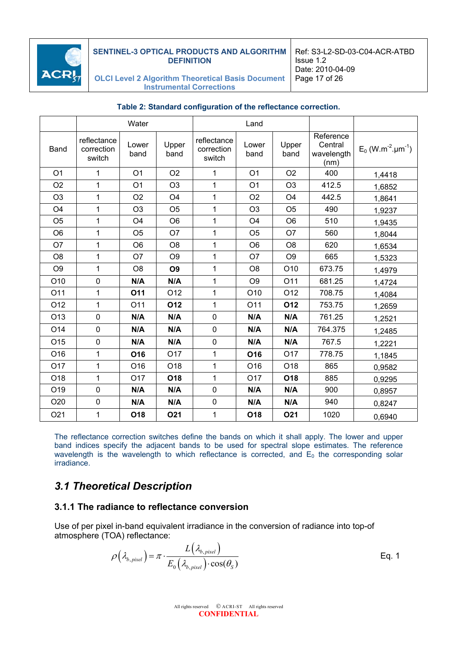

Ref: S3-L2-SD-03-C04-ACR-ATBD Issue 1.2 Date: 2010-04-09 Page 17 of 26

**OLCI Level 2 Algorithm Theoretical Basis Document Instrumental Corrections**

|                 | Water                               |                 |                 | Land                                |                 |                |                                            |                                              |
|-----------------|-------------------------------------|-----------------|-----------------|-------------------------------------|-----------------|----------------|--------------------------------------------|----------------------------------------------|
| Band            | reflectance<br>correction<br>switch | Lower<br>band   | Upper<br>band   | reflectance<br>correction<br>switch | Lower<br>band   | Upper<br>band  | Reference<br>Central<br>wavelength<br>(nm) | $E_0$ (W.m <sup>-2</sup> .um <sup>-1</sup> ) |
| O <sub>1</sub>  | 1                                   | O <sub>1</sub>  | O <sub>2</sub>  | 1                                   | O <sub>1</sub>  | O <sub>2</sub> | 400                                        | 1,4418                                       |
| O <sub>2</sub>  | 1                                   | O <sub>1</sub>  | O <sub>3</sub>  | 1                                   | O <sub>1</sub>  | O <sub>3</sub> | 412.5                                      | 1,6852                                       |
| O <sub>3</sub>  | 1                                   | O <sub>2</sub>  | O <sub>4</sub>  | 1                                   | O <sub>2</sub>  | O <sub>4</sub> | 442.5                                      | 1,8641                                       |
| O <sub>4</sub>  | 1                                   | O <sub>3</sub>  | O <sub>5</sub>  | $\mathbf{1}$                        | O <sub>3</sub>  | O <sub>5</sub> | 490                                        | 1,9237                                       |
| O <sub>5</sub>  | 1                                   | O <sub>4</sub>  | O <sub>6</sub>  | 1                                   | O <sub>4</sub>  | O <sub>6</sub> | 510                                        | 1,9435                                       |
| O <sub>6</sub>  | 1                                   | O <sub>5</sub>  | O <sub>7</sub>  | $\mathbf{1}$                        | O <sub>5</sub>  | O7             | 560                                        | 1,8044                                       |
| O <sub>7</sub>  | 1                                   | O <sub>6</sub>  | O <sub>8</sub>  | 1                                   | O <sub>6</sub>  | O <sub>8</sub> | 620                                        | 1,6534                                       |
| O <sub>8</sub>  | 1                                   | O <sub>7</sub>  | O <sub>9</sub>  | $\mathbf{1}$                        | O <sub>7</sub>  | O <sub>9</sub> | 665                                        | 1,5323                                       |
| O <sub>9</sub>  | 1                                   | O <sub>8</sub>  | O <sub>9</sub>  | $\mathbf{1}$                        | O <sub>8</sub>  | O10            | 673.75                                     | 1,4979                                       |
| O <sub>10</sub> | $\mathbf 0$                         | N/A             | N/A             | $\mathbf{1}$                        | O <sub>9</sub>  | O11            | 681.25                                     | 1,4724                                       |
| O11             | 1                                   | 011             | O12             | $\mathbf{1}$                        | O10             | O12            | 708.75                                     | 1,4084                                       |
| O12             | $\mathbf{1}$                        | O11             | O12             | $\mathbf{1}$                        | O11             | 012            | 753.75                                     | 1,2659                                       |
| O <sub>13</sub> | $\mathbf 0$                         | N/A             | N/A             | $\mathbf 0$                         | N/A             | N/A            | 761.25                                     | 1,2521                                       |
| O14             | $\mathbf 0$                         | N/A             | N/A             | $\mathbf 0$                         | N/A             | N/A            | 764.375                                    | 1,2485                                       |
| O <sub>15</sub> | $\mathbf 0$                         | N/A             | N/A             | $\mathbf 0$                         | N/A             | N/A            | 767.5                                      | 1,2221                                       |
| O16             | 1                                   | O <sub>16</sub> | O17             | $\mathbf{1}$                        | O <sub>16</sub> | O17            | 778.75                                     | 1,1845                                       |
| O17             | 1                                   | O16             | O18             | 1                                   | O16             | O18            | 865                                        | 0,9582                                       |
| O18             | 1                                   | O <sub>17</sub> | O <sub>18</sub> | $\mathbf{1}$                        | O17             | O18            | 885                                        | 0,9295                                       |
| O19             | $\mathbf 0$                         | N/A             | N/A             | $\mathbf 0$                         | N/A             | N/A            | 900                                        | 0,8957                                       |
| O20             | $\mathbf 0$                         | N/A             | N/A             | $\mathbf 0$                         | N/A             | N/A            | 940                                        | 0,8247                                       |
| O21             | 1                                   | O18             | <b>O21</b>      | 1                                   | O <sub>18</sub> | <b>O21</b>     | 1020                                       | 0,6940                                       |

#### **Table 2: Standard configuration of the reflectance correction.**

The reflectance correction switches define the bands on which it shall apply. The lower and upper band indices specify the adjacent bands to be used for spectral slope estimates. The reference wavelength is the wavelength to which reflectance is corrected, and  $E_0$  the corresponding solar irradiance.

### *3.1 Theoretical Description*

#### **3.1.1 The radiance to reflectance conversion**

Use of per pixel in-band equivalent irradiance in the conversion of radiance into top-of atmosphere (TOA) reflectance:

$$
\rho\left(\lambda_{b, pixel}\right) = \pi \cdot \frac{L\left(\lambda_{b, pixel}\right)}{E_0\left(\lambda_{b, pixel}\right) \cdot \cos(\theta_s)}
$$
 Eq. 1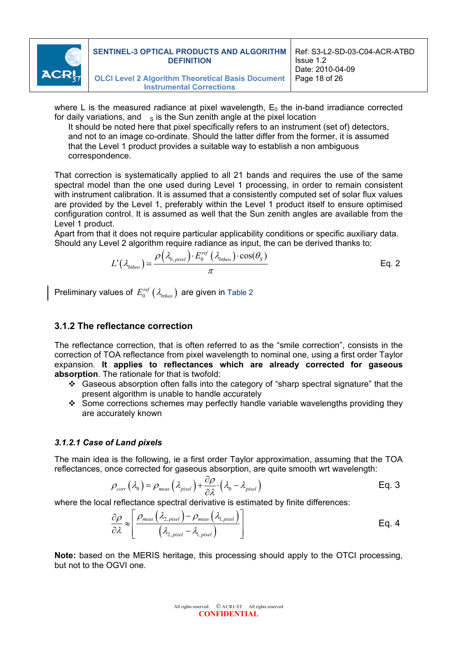

where L is the measured radiance at pixel wavelength,  $E_0$  the in-band irradiance corrected for daily variations, and  $\overline{s}$  is the Sun zenith angle at the pixel location

It should be noted here that pixel specifically refers to an instrument (set of) detectors, and not to an image co-ordinate. Should the latter differ from the former, it is assumed that the Level 1 product provides a suitable way to establish a non ambiguous correspondence.

That correction is systematically applied to all 21 bands and requires the use of the same spectral model than the one used during Level 1 processing, in order to remain consistent with instrument calibration. It is assumed that a consistently computed set of solar flux values are provided by the Level 1, preferably within the Level 1 product itself to ensure optimised configuration control. It is assumed as well that the Sun zenith angles are available from the Level 1 product.

Apart from that it does not require particular applicability conditions or specific auxiliary data. Should any Level 2 algorithm require radiance as input, the can be derived thanks to:

$$
L'(\lambda_{btheo}) \simeq \frac{\rho(\lambda_{b,pixel}) \cdot E_0^{ref}(\lambda_{btheo}) \cdot \cos(\theta_s)}{\pi}
$$
 Eq. 2

Preliminary values of  $E_0^{ref}$  ( $\lambda_{\text{btheo}}$ ) are given in Table 2

#### **3.1.2 The reflectance correction**

The reflectance correction, that is often referred to as the "smile correction", consists in the correction of TOA reflectance from pixel wavelength to nominal one, using a first order Taylor expansion. **It applies to reflectances which are already corrected for gaseous absorption**. The rationale for that is twofold:

- Gaseous absorption often falls into the category of "sharp spectral signature" that the present algorithm is unable to handle accurately
- \* Some corrections schemes may perfectly handle variable wavelengths providing they are accurately known

#### *3.1.2.1 Case of Land pixels*

The main idea is the following, ie a first order Taylor approximation, assuming that the TOA reflectances, once corrected for gaseous absorption, are quite smooth wrt wavelength:

$$
\rho_{corr}(\lambda_0) = \rho_{meas}(\lambda_{pixel}) + \frac{\partial \rho}{\partial \lambda} \cdot (\lambda_0 - \lambda_{pixel})
$$
 Eq. 3

where the local reflectance spectral derivative is estimated by finite differences:

$$
\frac{\partial \rho}{\partial \lambda} \approx \left[ \frac{\rho_{meas} \left( \lambda_{2, pixel} \right) - \rho_{meas} \left( \lambda_{1, pixel} \right)}{\left( \lambda_{2, pixel} - \lambda_{1, pixel} \right)} \right]
$$
 Eq. 4

**Note:** based on the MERIS heritage, this processing should apply to the OTCI processing, but not to the OGVI one.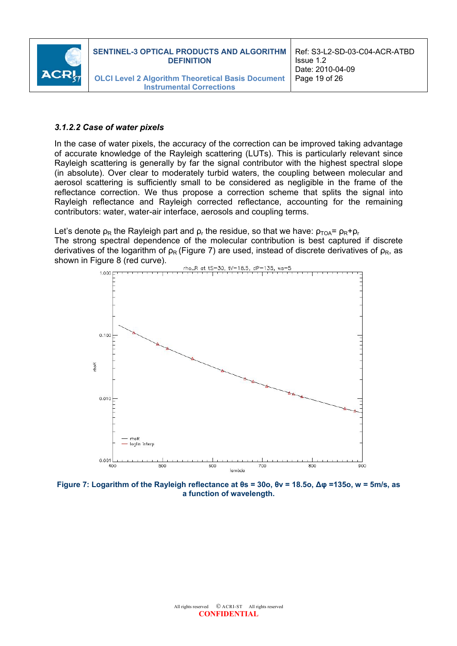

#### *3.1.2.2 Case of water pixels*

In the case of water pixels, the accuracy of the correction can be improved taking advantage of accurate knowledge of the Rayleigh scattering (LUTs). This is particularly relevant since Rayleigh scattering is generally by far the signal contributor with the highest spectral slope (in absolute). Over clear to moderately turbid waters, the coupling between molecular and aerosol scattering is sufficiently small to be considered as negligible in the frame of the reflectance correction. We thus propose a correction scheme that splits the signal into Rayleigh reflectance and Rayleigh corrected reflectance, accounting for the remaining contributors: water, water-air interface, aerosols and coupling terms.

Let's denote  $\rho_R$  the Rayleigh part and  $\rho_r$  the residue, so that we have:  $\rho_{T\Omega A} = \rho_R + \rho_r$ 

The strong spectral dependence of the molecular contribution is best captured if discrete derivatives of the logarithm of  $p_R$  (Figure 7) are used, instead of discrete derivatives of  $p_R$ , as shown in Figure 8 (red curve).



**Figure 7: Logarithm of the Rayleigh reflectance at θs = 30o, θv = 18.5o, ∆φ =135o, w = 5m/s, as a function of wavelength.**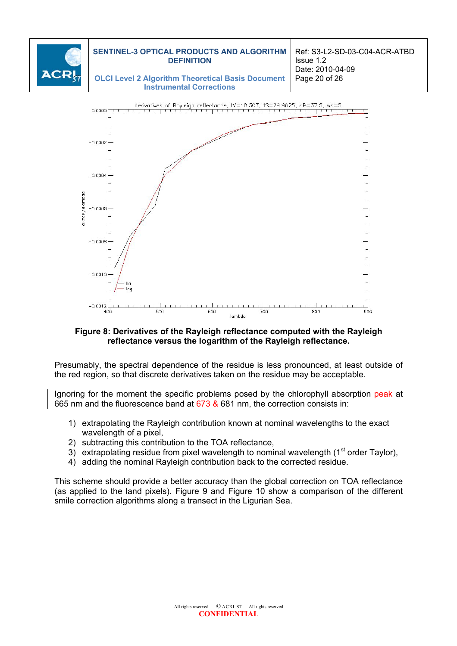



#### **Figure 8: Derivatives of the Rayleigh reflectance computed with the Rayleigh reflectance versus the logarithm of the Rayleigh reflectance.**

Presumably, the spectral dependence of the residue is less pronounced, at least outside of the red region, so that discrete derivatives taken on the residue may be acceptable.

Ignoring for the moment the specific problems posed by the chlorophyll absorption peak at 665 nm and the fluorescence band at 673 & 681 nm, the correction consists in:

- 1) extrapolating the Rayleigh contribution known at nominal wavelengths to the exact wavelength of a pixel.
- 2) subtracting this contribution to the TOA reflectance,

 $-0.0006$ 

- 3) extrapolating residue from pixel wavelength to nominal wavelength ( $1<sup>st</sup>$  order Taylor),
- 4) adding the nominal Rayleigh contribution back to the corrected residue.

This scheme should provide a better accuracy than the global correction on TOA reflectance (as applied to the land pixels). Figure 9 and Figure 10 show a comparison of the different smile correction algorithms along a transect in the Ligurian Sea.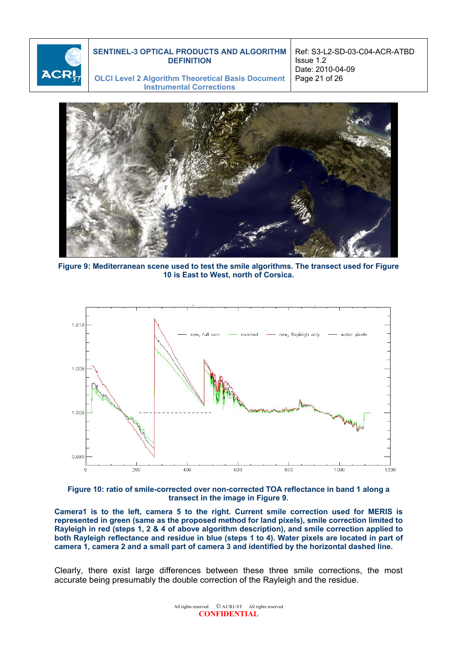

Ref: S3-L2-SD-03-C04-ACR-ATBD Issue 1.2 Date: 2010-04-09 Page 21 of 26

**OLCI Level 2 Algorithm Theoretical Basis Document Instrumental Corrections**



**Figure 9: Mediterranean scene used to test the smile algorithms. The transect used for Figure 10 is East to West, north of Corsica.** 



**Figure 10: ratio of smile-corrected over non-corrected TOA reflectance in band 1 along a transect in the image in Figure 9.** 

**Camera1 is to the left, camera 5 to the right. Current smile correction used for MERIS is represented in green (same as the proposed method for land pixels), smile correction limited to Rayleigh in red (steps 1, 2 & 4 of above algorithm description), and smile correction applied to both Rayleigh reflectance and residue in blue (steps 1 to 4). Water pixels are located in part of camera 1, camera 2 and a small part of camera 3 and identified by the horizontal dashed line.** 

Clearly, there exist large differences between these three smile corrections, the most accurate being presumably the double correction of the Rayleigh and the residue.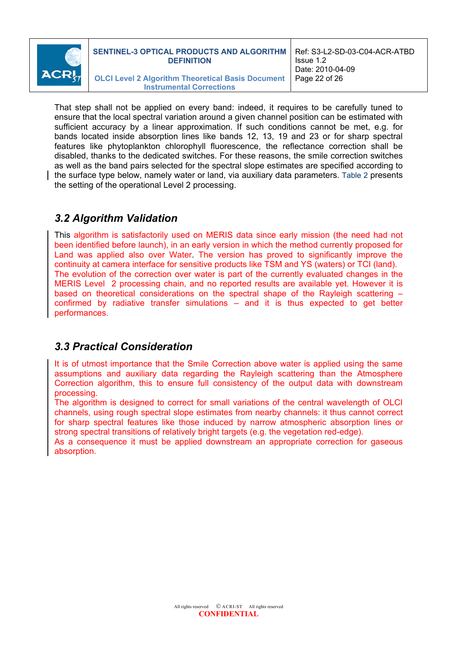

That step shall not be applied on every band: indeed, it requires to be carefully tuned to ensure that the local spectral variation around a given channel position can be estimated with sufficient accuracy by a linear approximation. If such conditions cannot be met, e.g. for bands located inside absorption lines like bands 12, 13, 19 and 23 or for sharp spectral features like phytoplankton chlorophyll fluorescence, the reflectance correction shall be disabled, thanks to the dedicated switches. For these reasons, the smile correction switches as well as the band pairs selected for the spectral slope estimates are specified according to the surface type below, namely water or land, via auxiliary data parameters. Table 2 presents the setting of the operational Level 2 processing.

# *3.2 Algorithm Validation*

This algorithm is satisfactorily used on MERIS data since early mission (the need had not been identified before launch), in an early version in which the method currently proposed for Land was applied also over Water. The version has proved to significantly improve the continuity at camera interface for sensitive products like TSM and YS (waters) or TCI (land). The evolution of the correction over water is part of the currently evaluated changes in the MERIS Level 2 processing chain, and no reported results are available yet. However it is based on theoretical considerations on the spectral shape of the Rayleigh scattering – confirmed by radiative transfer simulations – and it is thus expected to get better performances.

# *3.3 Practical Consideration*

It is of utmost importance that the Smile Correction above water is applied using the same assumptions and auxiliary data regarding the Rayleigh scattering than the Atmosphere Correction algorithm, this to ensure full consistency of the output data with downstream processing.

The algorithm is designed to correct for small variations of the central wavelength of OLCI channels, using rough spectral slope estimates from nearby channels: it thus cannot correct for sharp spectral features like those induced by narrow atmospheric absorption lines or strong spectral transitions of relatively bright targets (e.g. the vegetation red-edge).

As a consequence it must be applied downstream an appropriate correction for gaseous absorption.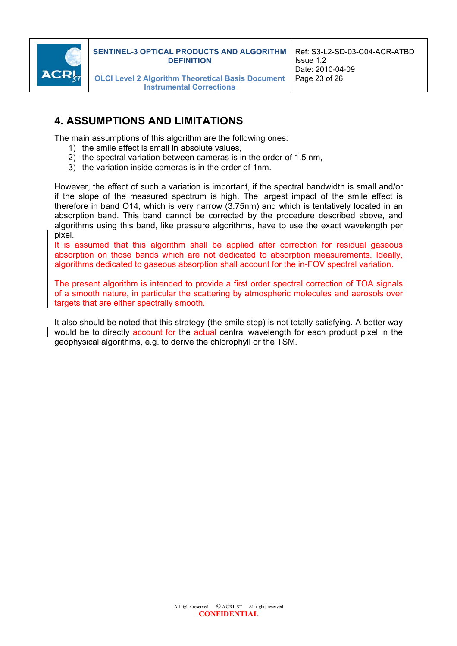

# **4. ASSUMPTIONS AND LIMITATIONS**

The main assumptions of this algorithm are the following ones:

- 1) the smile effect is small in absolute values,
- 2) the spectral variation between cameras is in the order of 1.5 nm,
- 3) the variation inside cameras is in the order of 1nm.

However, the effect of such a variation is important, if the spectral bandwidth is small and/or if the slope of the measured spectrum is high. The largest impact of the smile effect is therefore in band O14, which is very narrow (3.75nm) and which is tentatively located in an absorption band. This band cannot be corrected by the procedure described above, and algorithms using this band, like pressure algorithms, have to use the exact wavelength per pixel.

It is assumed that this algorithm shall be applied after correction for residual gaseous absorption on those bands which are not dedicated to absorption measurements. Ideally, algorithms dedicated to gaseous absorption shall account for the in-FOV spectral variation.

The present algorithm is intended to provide a first order spectral correction of TOA signals of a smooth nature, in particular the scattering by atmospheric molecules and aerosols over targets that are either spectrally smooth.

It also should be noted that this strategy (the smile step) is not totally satisfying. A better way would be to directly account for the actual central wavelength for each product pixel in the geophysical algorithms, e.g. to derive the chlorophyll or the TSM.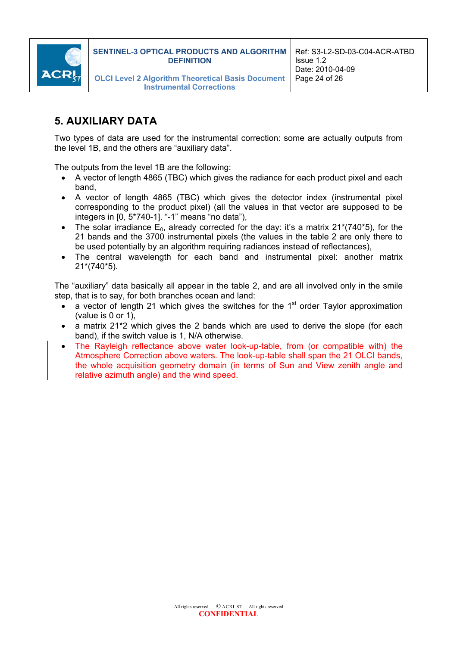

# **5. AUXILIARY DATA**

Two types of data are used for the instrumental correction: some are actually outputs from the level 1B, and the others are "auxiliary data".

The outputs from the level 1B are the following:

- A vector of length 4865 (TBC) which gives the radiance for each product pixel and each band,
- A vector of length 4865 (TBC) which gives the detector index (instrumental pixel corresponding to the product pixel) (all the values in that vector are supposed to be integers in [0, 5\*740-1]. "-1" means "no data"),
- The solar irradiance  $E_0$ , already corrected for the day: it's a matrix 21\*(740\*5), for the 21 bands and the 3700 instrumental pixels (the values in the table 2 are only there to be used potentially by an algorithm requiring radiances instead of reflectances),
- The central wavelength for each band and instrumental pixel: another matrix 21\*(740\*5).

The "auxiliary" data basically all appear in the table 2, and are all involved only in the smile step, that is to say, for both branches ocean and land:

- a vector of length 21 which gives the switches for the  $1<sup>st</sup>$  order Taylor approximation (value is 0 or 1),
- a matrix 21\*2 which gives the 2 bands which are used to derive the slope (for each band), if the switch value is 1, N/A otherwise.
- The Rayleigh reflectance above water look-up-table, from (or compatible with) the Atmosphere Correction above waters. The look-up-table shall span the 21 OLCI bands, the whole acquisition geometry domain (in terms of Sun and View zenith angle and relative azimuth angle) and the wind speed.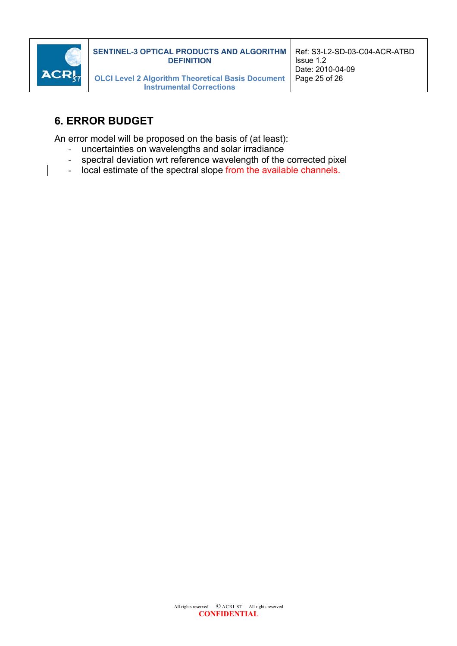

# **6. ERROR BUDGET**

An error model will be proposed on the basis of (at least):

- uncertainties on wavelengths and solar irradiance
- spectral deviation wrt reference wavelength of the corrected pixel
- local estimate of the spectral slope from the available channels.